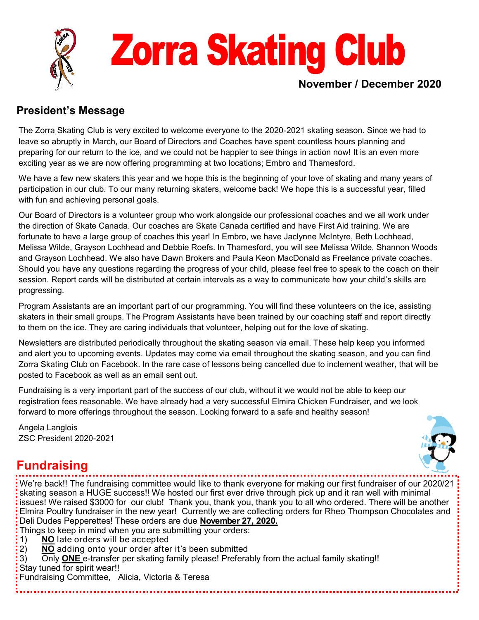

### **President's Message**

The Zorra Skating Club is very excited to welcome everyone to the 2020-2021 skating season. Since we had to leave so abruptly in March, our Board of Directors and Coaches have spent countless hours planning and preparing for our return to the ice, and we could not be happier to see things in action now! It is an even more exciting year as we are now offering programming at two locations; Embro and Thamesford.

We have a few new skaters this year and we hope this is the beginning of your love of skating and many years of participation in our club. To our many returning skaters, welcome back! We hope this is a successful year, filled with fun and achieving personal goals.

Our Board of Directors is a volunteer group who work alongside our professional coaches and we all work under the direction of Skate Canada. Our coaches are Skate Canada certified and have First Aid training. We are fortunate to have a large group of coaches this year! In Embro, we have Jaclynne McIntyre, Beth Lochhead, Melissa Wilde, Grayson Lochhead and Debbie Roefs. In Thamesford, you will see Melissa Wilde, Shannon Woods and Grayson Lochhead. We also have Dawn Brokers and Paula Keon MacDonald as Freelance private coaches. Should you have any questions regarding the progress of your child, please feel free to speak to the coach on their session. Report cards will be distributed at certain intervals as a way to communicate how your child's skills are progressing.

Program Assistants are an important part of our programming. You will find these volunteers on the ice, assisting skaters in their small groups. The Program Assistants have been trained by our coaching staff and report directly to them on the ice. They are caring individuals that volunteer, helping out for the love of skating.

Newsletters are distributed periodically throughout the skating season via email. These help keep you informed and alert you to upcoming events. Updates may come via email throughout the skating season, and you can find Zorra Skating Club on Facebook. In the rare case of lessons being cancelled due to inclement weather, that will be posted to Facebook as well as an email sent out.

Fundraising is a very important part of the success of our club, without it we would not be able to keep our registration fees reasonable. We have already had a very successful Elmira Chicken Fundraiser, and we look forward to more offerings throughout the season. Looking forward to a safe and healthy season!

Angela Langlois ZSC President 2020-2021



# **Fundraising**

We're back!! The fundraising committee would like to thank everyone for making our first fundraiser of our 2020/21 skating season a HUGE success!! We hosted our first ever drive through pick up and it ran well with minimal issues! We raised \$3000 for our club! Thank you, thank you, thank you to all who ordered. There will be another Elmira Poultry fundraiser in the new year! Currently we are collecting orders for Rheo Thompson Chocolates and Deli Dudes Pepperettes! These orders are due **November 27, 2020.**

- Things to keep in mind when you are submitting your orders:
- 1) **NO** late orders will be accepted<br>2) **NO** adding onto your order after
- 2) **NO** adding onto your order after it's been submitted
- 3) Only **ONE** e-transfer per skating family please! Preferably from the actual family skating!!

Stay tuned for spirit wear!!

Fundraising Committee, Alicia, Victoria & Teresa